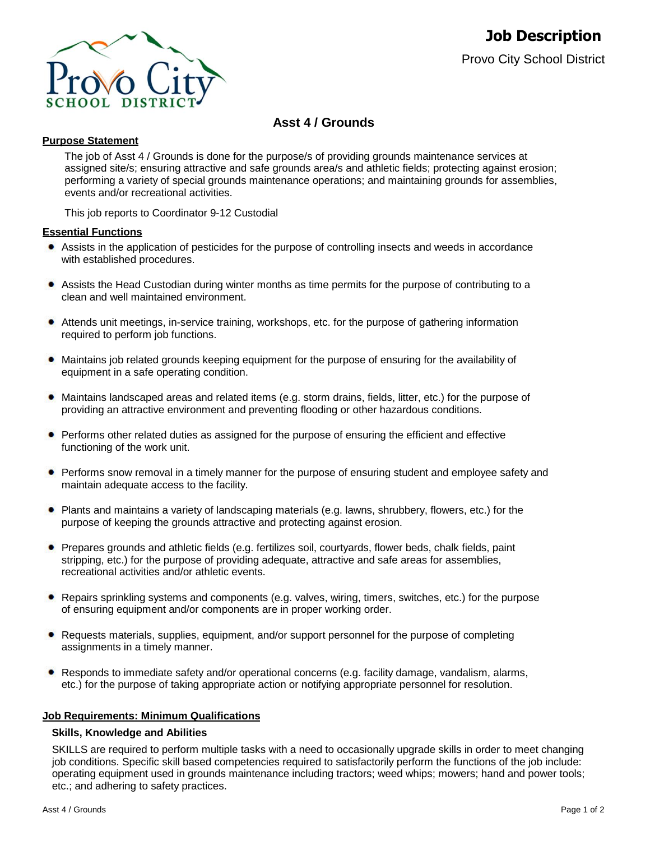

# **Asst 4 / Grounds**

# **Purpose Statement**

The job of Asst 4 / Grounds is done for the purpose/s of providing grounds maintenance services at assigned site/s; ensuring attractive and safe grounds area/s and athletic fields; protecting against erosion; performing a variety of special grounds maintenance operations; and maintaining grounds for assemblies, events and/or recreational activities.

This job reports to Coordinator 9-12 Custodial

## **Essential Functions**

- Assists in the application of pesticides for the purpose of controlling insects and weeds in accordance with established procedures.
- $\bullet$ Assists the Head Custodian during winter months as time permits for the purpose of contributing to a clean and well maintained environment.
- Attends unit meetings, in-service training, workshops, etc. for the purpose of gathering information required to perform job functions.
- Maintains job related grounds keeping equipment for the purpose of ensuring for the availability of equipment in a safe operating condition.
- Maintains landscaped areas and related items (e.g. storm drains, fields, litter, etc.) for the purpose of providing an attractive environment and preventing flooding or other hazardous conditions.
- Performs other related duties as assigned for the purpose of ensuring the efficient and effective functioning of the work unit.
- **•** Performs snow removal in a timely manner for the purpose of ensuring student and employee safety and maintain adequate access to the facility.
- Plants and maintains a variety of landscaping materials (e.g. lawns, shrubbery, flowers, etc.) for the purpose of keeping the grounds attractive and protecting against erosion.
- Prepares grounds and athletic fields (e.g. fertilizes soil, courtyards, flower beds, chalk fields, paint stripping, etc.) for the purpose of providing adequate, attractive and safe areas for assemblies, recreational activities and/or athletic events.
- Repairs sprinkling systems and components (e.g. valves, wiring, timers, switches, etc.) for the purpose of ensuring equipment and/or components are in proper working order.
- Requests materials, supplies, equipment, and/or support personnel for the purpose of completing assignments in a timely manner.
- Responds to immediate safety and/or operational concerns (e.g. facility damage, vandalism, alarms, etc.) for the purpose of taking appropriate action or notifying appropriate personnel for resolution.

# **Job Requirements: Minimum Qualifications**

### **Skills, Knowledge and Abilities**

SKILLS are required to perform multiple tasks with a need to occasionally upgrade skills in order to meet changing job conditions. Specific skill based competencies required to satisfactorily perform the functions of the job include: operating equipment used in grounds maintenance including tractors; weed whips; mowers; hand and power tools; etc.; and adhering to safety practices.